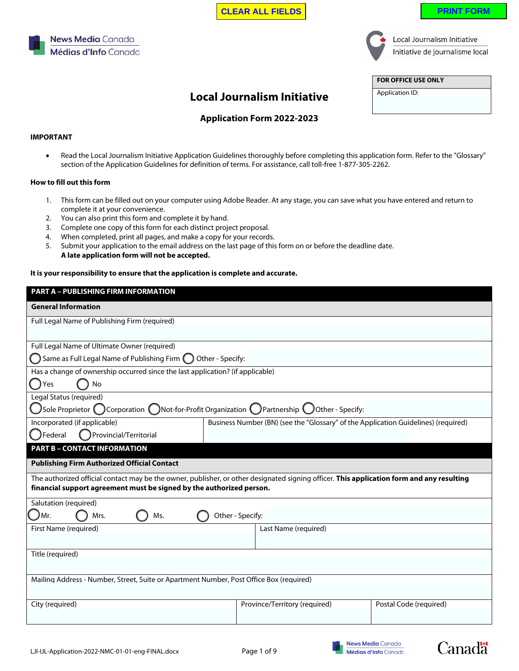| LJI-IJL-Application-2022-NMC-01-01-eng-FINAL.docx |  |
|---------------------------------------------------|--|
|---------------------------------------------------|--|





Local Journalism Initiative Initiative de journalisme local

**FOR OFFICE USE ONLY**

Application ID:

# **Local Journalism Initiative**

# **Application Form 2022-2023**

### **IMPORTANT**

• Read the Local Journalism Initiative Application Guidelines thoroughly before completing this application form. Refer to the "Glossary" section of the Application Guidelines for definition of terms. For assistance, call toll-free 1-877-305-2262.

## **How to fill out this form**

**News Media Canada** 

Médias d'Info Canada

- 1. This form can be filled out on your computer using Adobe Reader. At any stage, you can save what you have entered and return to complete it at your convenience.
- 2. You can also print this form and complete it by hand.
- 3. Complete one copy of this form for each distinct project proposal.
- 4. When completed, print all pages, and make a copy for your records.
- 5. Submit your application to the email address on the last page of this form on or before the deadline date. **A late application form will not be accepted.**

### **It is your responsibility to ensure that the application is complete and accurate.**

| <b>PART A - PUBLISHING FIRM INFORMATION</b>                                                                                                                                                                       |                               |                        |  |  |  |
|-------------------------------------------------------------------------------------------------------------------------------------------------------------------------------------------------------------------|-------------------------------|------------------------|--|--|--|
| <b>General Information</b>                                                                                                                                                                                        |                               |                        |  |  |  |
| Full Legal Name of Publishing Firm (required)                                                                                                                                                                     |                               |                        |  |  |  |
|                                                                                                                                                                                                                   |                               |                        |  |  |  |
| Full Legal Name of Ultimate Owner (required)                                                                                                                                                                      |                               |                        |  |  |  |
| Same as Full Legal Name of Publishing Firm $\bigcap$ Other - Specify:                                                                                                                                             |                               |                        |  |  |  |
| Has a change of ownership occurred since the last application? (if applicable)<br>Yes<br><b>No</b>                                                                                                                |                               |                        |  |  |  |
| Legal Status (required)                                                                                                                                                                                           |                               |                        |  |  |  |
| $\bigcup$ Sole Proprietor ( $\bigcirc$ Corporation ( $\bigcirc$ Not-for-Profit Organization ( $\bigcirc$ Partnership $\bigcirc$ Other - Specify:                                                                  |                               |                        |  |  |  |
| Incorporated (if applicable)<br>Business Number (BN) (see the "Glossary" of the Application Guidelines) (required)<br><b>J</b> Federal<br>Provincial/Territorial                                                  |                               |                        |  |  |  |
| <b>PART B - CONTACT INFORMATION</b>                                                                                                                                                                               |                               |                        |  |  |  |
| <b>Publishing Firm Authorized Official Contact</b>                                                                                                                                                                |                               |                        |  |  |  |
|                                                                                                                                                                                                                   |                               |                        |  |  |  |
| The authorized official contact may be the owner, publisher, or other designated signing officer. This application form and any resulting<br>financial support agreement must be signed by the authorized person. |                               |                        |  |  |  |
| Salutation (required)                                                                                                                                                                                             |                               |                        |  |  |  |
| JMr.<br>Mrs.<br>Ms.                                                                                                                                                                                               | Other - Specify:              |                        |  |  |  |
| First Name (required)                                                                                                                                                                                             | Last Name (required)          |                        |  |  |  |
|                                                                                                                                                                                                                   |                               |                        |  |  |  |
| Title (required)                                                                                                                                                                                                  |                               |                        |  |  |  |
|                                                                                                                                                                                                                   |                               |                        |  |  |  |
| Mailing Address - Number, Street, Suite or Apartment Number, Post Office Box (required)                                                                                                                           |                               |                        |  |  |  |
| City (required)                                                                                                                                                                                                   | Province/Territory (required) | Postal Code (required) |  |  |  |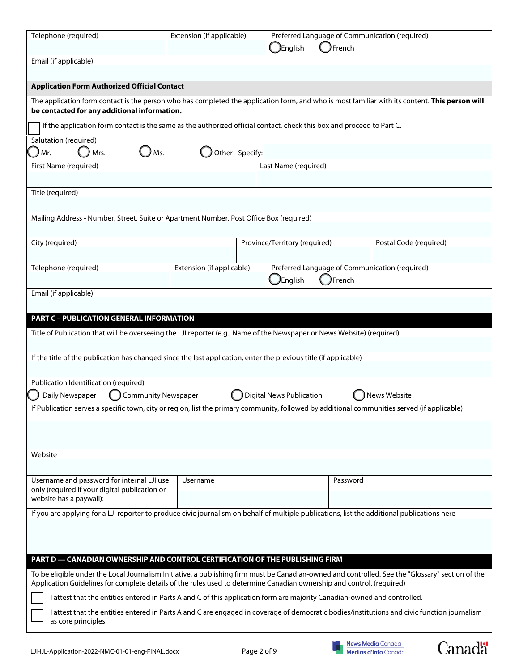| Telephone (required)                                                                                                                                                                                                                                                      | Extension (if applicable) |                  | English                         | French   | Preferred Language of Communication (required) |  |
|---------------------------------------------------------------------------------------------------------------------------------------------------------------------------------------------------------------------------------------------------------------------------|---------------------------|------------------|---------------------------------|----------|------------------------------------------------|--|
| Email (if applicable)                                                                                                                                                                                                                                                     |                           |                  |                                 |          |                                                |  |
| <b>Application Form Authorized Official Contact</b>                                                                                                                                                                                                                       |                           |                  |                                 |          |                                                |  |
| The application form contact is the person who has completed the application form, and who is most familiar with its content. This person will<br>be contacted for any additional information.                                                                            |                           |                  |                                 |          |                                                |  |
| If the application form contact is the same as the authorized official contact, check this box and proceed to Part C.                                                                                                                                                     |                           |                  |                                 |          |                                                |  |
| Salutation (required)<br>Ms.<br>Mr.<br>Mrs.                                                                                                                                                                                                                               |                           | Other - Specify: |                                 |          |                                                |  |
| First Name (required)                                                                                                                                                                                                                                                     |                           |                  | Last Name (required)            |          |                                                |  |
|                                                                                                                                                                                                                                                                           |                           |                  |                                 |          |                                                |  |
| Title (required)                                                                                                                                                                                                                                                          |                           |                  |                                 |          |                                                |  |
| Mailing Address - Number, Street, Suite or Apartment Number, Post Office Box (required)                                                                                                                                                                                   |                           |                  |                                 |          |                                                |  |
| City (required)                                                                                                                                                                                                                                                           |                           |                  | Province/Territory (required)   |          | Postal Code (required)                         |  |
| Telephone (required)                                                                                                                                                                                                                                                      | Extension (if applicable) |                  | $\bigcup$ English               | French   | Preferred Language of Communication (required) |  |
| Email (if applicable)                                                                                                                                                                                                                                                     |                           |                  |                                 |          |                                                |  |
|                                                                                                                                                                                                                                                                           |                           |                  |                                 |          |                                                |  |
| <b>PART C - PUBLICATION GENERAL INFORMATION</b>                                                                                                                                                                                                                           |                           |                  |                                 |          |                                                |  |
| Title of Publication that will be overseeing the LJI reporter (e.g., Name of the Newspaper or News Website) (required)                                                                                                                                                    |                           |                  |                                 |          |                                                |  |
| If the title of the publication has changed since the last application, enter the previous title (if applicable)                                                                                                                                                          |                           |                  |                                 |          |                                                |  |
|                                                                                                                                                                                                                                                                           |                           |                  |                                 |          |                                                |  |
| Publication Identification (required)<br>Daily Newspaper<br><b>Community Newspaper</b>                                                                                                                                                                                    |                           |                  | <b>Digital News Publication</b> |          | News Website                                   |  |
| If Publication serves a specific town, city or region, list the primary community, followed by additional communities served (if applicable)                                                                                                                              |                           |                  |                                 |          |                                                |  |
|                                                                                                                                                                                                                                                                           |                           |                  |                                 |          |                                                |  |
|                                                                                                                                                                                                                                                                           |                           |                  |                                 |          |                                                |  |
| Website                                                                                                                                                                                                                                                                   |                           |                  |                                 |          |                                                |  |
|                                                                                                                                                                                                                                                                           |                           |                  |                                 |          |                                                |  |
| Username and password for internal LJI use<br>only (required if your digital publication or                                                                                                                                                                               | Username                  |                  |                                 | Password |                                                |  |
| website has a paywall):                                                                                                                                                                                                                                                   |                           |                  |                                 |          |                                                |  |
| If you are applying for a LJI reporter to produce civic journalism on behalf of multiple publications, list the additional publications here                                                                                                                              |                           |                  |                                 |          |                                                |  |
|                                                                                                                                                                                                                                                                           |                           |                  |                                 |          |                                                |  |
| PART D - CANADIAN OWNERSHIP AND CONTROL CERTIFICATION OF THE PUBLISHING FIRM                                                                                                                                                                                              |                           |                  |                                 |          |                                                |  |
| To be eligible under the Local Journalism Initiative, a publishing firm must be Canadian-owned and controlled. See the "Glossary" section of the<br>Application Guidelines for complete details of the rules used to determine Canadian ownership and control. (required) |                           |                  |                                 |          |                                                |  |
| I attest that the entities entered in Parts A and C of this application form are majority Canadian-owned and controlled.                                                                                                                                                  |                           |                  |                                 |          |                                                |  |
| I attest that the entities entered in Parts A and C are engaged in coverage of democratic bodies/institutions and civic function journalism<br>as core principles.                                                                                                        |                           |                  |                                 |          |                                                |  |



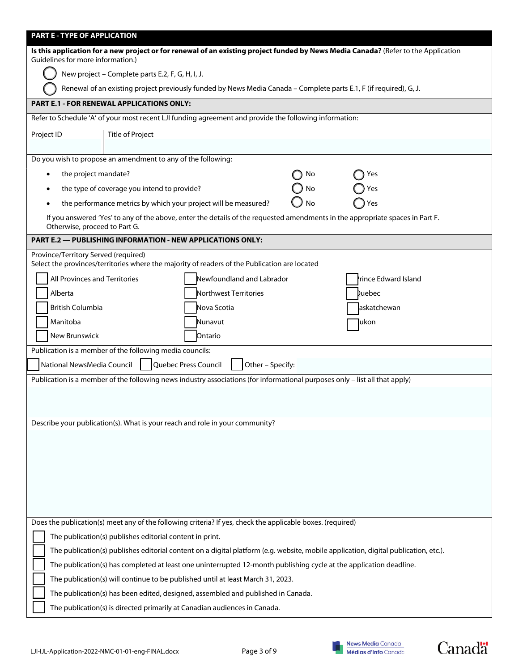| PART E - TYPE OF APPLICATION                                                                                                                                            |  |  |  |  |  |
|-------------------------------------------------------------------------------------------------------------------------------------------------------------------------|--|--|--|--|--|
| Is this application for a new project or for renewal of an existing project funded by News Media Canada? (Refer to the Application<br>Guidelines for more information.) |  |  |  |  |  |
| New project - Complete parts E.2, F, G, H, I, J.                                                                                                                        |  |  |  |  |  |
| Renewal of an existing project previously funded by News Media Canada - Complete parts E.1, F (if required), G, J.                                                      |  |  |  |  |  |
| PART E.1 - FOR RENEWAL APPLICATIONS ONLY:                                                                                                                               |  |  |  |  |  |
| Refer to Schedule 'A' of your most recent LJI funding agreement and provide the following information:                                                                  |  |  |  |  |  |
| <b>Title of Project</b><br>Project ID                                                                                                                                   |  |  |  |  |  |
|                                                                                                                                                                         |  |  |  |  |  |
| Do you wish to propose an amendment to any of the following:                                                                                                            |  |  |  |  |  |
| the project mandate?<br>No<br>Yes                                                                                                                                       |  |  |  |  |  |
| the type of coverage you intend to provide?<br>No<br>Yes<br>٠                                                                                                           |  |  |  |  |  |
| the performance metrics by which your project will be measured?<br>No<br>Yes                                                                                            |  |  |  |  |  |
| If you answered 'Yes' to any of the above, enter the details of the requested amendments in the appropriate spaces in Part F.<br>Otherwise, proceed to Part G.          |  |  |  |  |  |
| <b>PART E.2 — PUBLISHING INFORMATION - NEW APPLICATIONS ONLY:</b>                                                                                                       |  |  |  |  |  |
| Province/Territory Served (required)<br>Select the provinces/territories where the majority of readers of the Publication are located                                   |  |  |  |  |  |
| All Provinces and Territories<br>Newfoundland and Labrador<br>rince Edward Island                                                                                       |  |  |  |  |  |
| Alberta<br>Northwest Territories<br>Quebec                                                                                                                              |  |  |  |  |  |
| British Columbia<br>Nova Scotia<br>askatchewan                                                                                                                          |  |  |  |  |  |
| Manitoba<br>Nunavut<br>ukon)                                                                                                                                            |  |  |  |  |  |
| New Brunswick<br>Ontario                                                                                                                                                |  |  |  |  |  |
| Publication is a member of the following media councils:                                                                                                                |  |  |  |  |  |
| National NewsMedia Council<br>Quebec Press Council<br>Other - Specify:                                                                                                  |  |  |  |  |  |
| Publication is a member of the following news industry associations (for informational purposes only - list all that apply)                                             |  |  |  |  |  |
|                                                                                                                                                                         |  |  |  |  |  |
|                                                                                                                                                                         |  |  |  |  |  |
| Describe your publication(s). What is your reach and role in your community?                                                                                            |  |  |  |  |  |
|                                                                                                                                                                         |  |  |  |  |  |
|                                                                                                                                                                         |  |  |  |  |  |
|                                                                                                                                                                         |  |  |  |  |  |
|                                                                                                                                                                         |  |  |  |  |  |
|                                                                                                                                                                         |  |  |  |  |  |
|                                                                                                                                                                         |  |  |  |  |  |
| Does the publication(s) meet any of the following criteria? If yes, check the applicable boxes. (required)                                                              |  |  |  |  |  |
| The publication(s) publishes editorial content in print.                                                                                                                |  |  |  |  |  |
| The publication(s) publishes editorial content on a digital platform (e.g. website, mobile application, digital publication, etc.).                                     |  |  |  |  |  |
| The publication(s) has completed at least one uninterrupted 12-month publishing cycle at the application deadline.                                                      |  |  |  |  |  |
| The publication(s) will continue to be published until at least March 31, 2023.                                                                                         |  |  |  |  |  |
| The publication(s) has been edited, designed, assembled and published in Canada.                                                                                        |  |  |  |  |  |
| The publication(s) is directed primarily at Canadian audiences in Canada.                                                                                               |  |  |  |  |  |

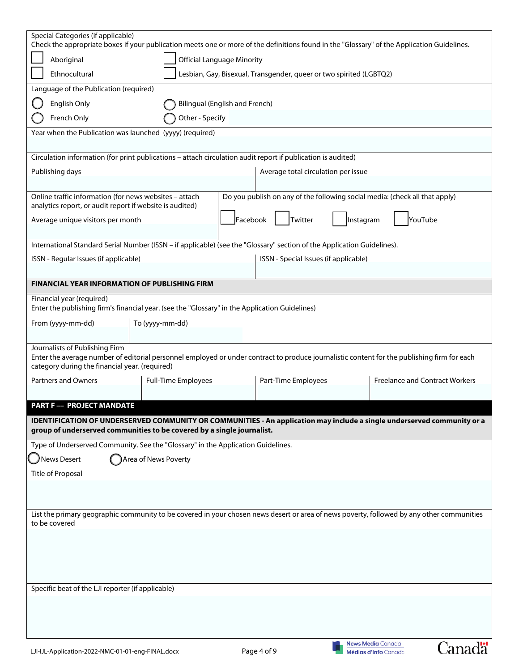| Special Categories (if applicable)                                                                                                                                                                                              |                                                                                      |          |                                                                             |           |                                                  |                                       |
|---------------------------------------------------------------------------------------------------------------------------------------------------------------------------------------------------------------------------------|--------------------------------------------------------------------------------------|----------|-----------------------------------------------------------------------------|-----------|--------------------------------------------------|---------------------------------------|
| Check the appropriate boxes if your publication meets one or more of the definitions found in the "Glossary" of the Application Guidelines.                                                                                     |                                                                                      |          |                                                                             |           |                                                  |                                       |
|                                                                                                                                                                                                                                 | <b>Official Language Minority</b><br>Aboriginal                                      |          |                                                                             |           |                                                  |                                       |
|                                                                                                                                                                                                                                 | Ethnocultural<br>Lesbian, Gay, Bisexual, Transgender, queer or two spirited (LGBTQ2) |          |                                                                             |           |                                                  |                                       |
| Language of the Publication (required)                                                                                                                                                                                          |                                                                                      |          |                                                                             |           |                                                  |                                       |
| English Only                                                                                                                                                                                                                    | <b>Bilingual (English and French)</b>                                                |          |                                                                             |           |                                                  |                                       |
| French Only                                                                                                                                                                                                                     | Other - Specify                                                                      |          |                                                                             |           |                                                  |                                       |
| Year when the Publication was launched (yyyy) (required)                                                                                                                                                                        |                                                                                      |          |                                                                             |           |                                                  |                                       |
| Circulation information (for print publications - attach circulation audit report if publication is audited)                                                                                                                    |                                                                                      |          |                                                                             |           |                                                  |                                       |
| Publishing days                                                                                                                                                                                                                 |                                                                                      |          | Average total circulation per issue                                         |           |                                                  |                                       |
|                                                                                                                                                                                                                                 |                                                                                      |          |                                                                             |           |                                                  |                                       |
| Online traffic information (for news websites - attach                                                                                                                                                                          |                                                                                      |          | Do you publish on any of the following social media: (check all that apply) |           |                                                  |                                       |
| analytics report, or audit report if website is audited)                                                                                                                                                                        |                                                                                      |          |                                                                             |           |                                                  |                                       |
| Average unique visitors per month                                                                                                                                                                                               |                                                                                      | Facebook | Twitter                                                                     | Instagram |                                                  | YouTube                               |
| International Standard Serial Number (ISSN - if applicable) (see the "Glossary" section of the Application Guidelines).                                                                                                         |                                                                                      |          |                                                                             |           |                                                  |                                       |
| ISSN - Regular Issues (if applicable)                                                                                                                                                                                           |                                                                                      |          | ISSN - Special Issues (if applicable)                                       |           |                                                  |                                       |
|                                                                                                                                                                                                                                 |                                                                                      |          |                                                                             |           |                                                  |                                       |
| <b>FINANCIAL YEAR INFORMATION OF PUBLISHING FIRM</b>                                                                                                                                                                            |                                                                                      |          |                                                                             |           |                                                  |                                       |
| Financial year (required)                                                                                                                                                                                                       |                                                                                      |          |                                                                             |           |                                                  |                                       |
| Enter the publishing firm's financial year. (see the "Glossary" in the Application Guidelines)                                                                                                                                  |                                                                                      |          |                                                                             |           |                                                  |                                       |
| From (yyyy-mm-dd)                                                                                                                                                                                                               | To (yyyy-mm-dd)                                                                      |          |                                                                             |           |                                                  |                                       |
| Journalists of Publishing Firm<br>Enter the average number of editorial personnel employed or under contract to produce journalistic content for the publishing firm for each<br>category during the financial year. (required) |                                                                                      |          |                                                                             |           |                                                  |                                       |
| <b>Partners and Owners</b>                                                                                                                                                                                                      | <b>Full-Time Employees</b>                                                           |          | Part-Time Employees                                                         |           |                                                  | <b>Freelance and Contract Workers</b> |
|                                                                                                                                                                                                                                 |                                                                                      |          |                                                                             |           |                                                  |                                       |
| <b>PART F -- PROJECT MANDATE</b>                                                                                                                                                                                                |                                                                                      |          |                                                                             |           |                                                  |                                       |
| IDENTIFICATION OF UNDERSERVED COMMUNITY OR COMMUNITIES - An application may include a single underserved community or a<br>group of underserved communities to be covered by a single journalist.                               |                                                                                      |          |                                                                             |           |                                                  |                                       |
| Type of Underserved Community. See the "Glossary" in the Application Guidelines.                                                                                                                                                |                                                                                      |          |                                                                             |           |                                                  |                                       |
| News Desert                                                                                                                                                                                                                     | Area of News Poverty                                                                 |          |                                                                             |           |                                                  |                                       |
| <b>Title of Proposal</b>                                                                                                                                                                                                        |                                                                                      |          |                                                                             |           |                                                  |                                       |
|                                                                                                                                                                                                                                 |                                                                                      |          |                                                                             |           |                                                  |                                       |
|                                                                                                                                                                                                                                 |                                                                                      |          |                                                                             |           |                                                  |                                       |
| List the primary geographic community to be covered in your chosen news desert or area of news poverty, followed by any other communities<br>to be covered                                                                      |                                                                                      |          |                                                                             |           |                                                  |                                       |
|                                                                                                                                                                                                                                 |                                                                                      |          |                                                                             |           |                                                  |                                       |
|                                                                                                                                                                                                                                 |                                                                                      |          |                                                                             |           |                                                  |                                       |
|                                                                                                                                                                                                                                 |                                                                                      |          |                                                                             |           |                                                  |                                       |
|                                                                                                                                                                                                                                 |                                                                                      |          |                                                                             |           |                                                  |                                       |
| Specific beat of the LJI reporter (if applicable)                                                                                                                                                                               |                                                                                      |          |                                                                             |           |                                                  |                                       |
|                                                                                                                                                                                                                                 |                                                                                      |          |                                                                             |           |                                                  |                                       |
|                                                                                                                                                                                                                                 |                                                                                      |          |                                                                             |           |                                                  |                                       |
|                                                                                                                                                                                                                                 |                                                                                      |          |                                                                             |           |                                                  |                                       |
| LJI-IJL-Application-2022-NMC-01-01-eng-FINAL.docx                                                                                                                                                                               |                                                                                      |          | Page 4 of 9                                                                 |           | <b>News Media Canada</b><br>Médias d'Info Canada | Canada                                |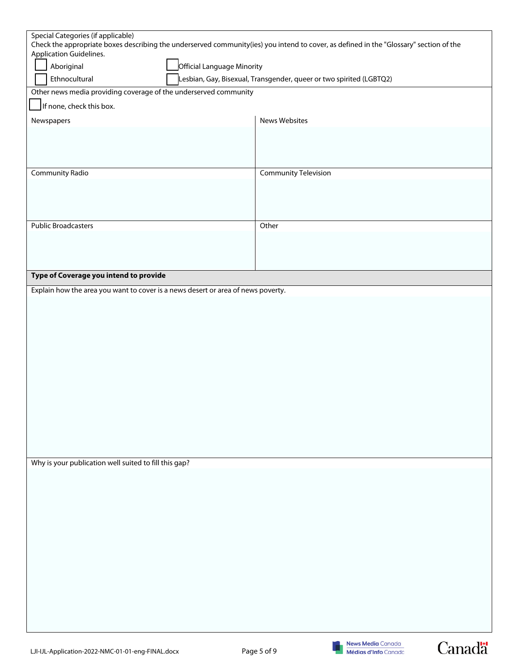| Special Categories (if applicable)                                               | Check the appropriate boxes describing the underserved community(ies) you intend to cover, as defined in the "Glossary" section of the |
|----------------------------------------------------------------------------------|----------------------------------------------------------------------------------------------------------------------------------------|
| Application Guidelines.                                                          |                                                                                                                                        |
| Aboriginal                                                                       | Official Language Minority                                                                                                             |
| Ethnocultural                                                                    | Lesbian, Gay, Bisexual, Transgender, queer or two spirited (LGBTQ2)                                                                    |
| Other news media providing coverage of the underserved community                 |                                                                                                                                        |
| If none, check this box.                                                         |                                                                                                                                        |
| Newspapers                                                                       | News Websites                                                                                                                          |
|                                                                                  |                                                                                                                                        |
|                                                                                  |                                                                                                                                        |
|                                                                                  |                                                                                                                                        |
| Community Radio                                                                  | <b>Community Television</b>                                                                                                            |
|                                                                                  |                                                                                                                                        |
|                                                                                  |                                                                                                                                        |
| <b>Public Broadcasters</b>                                                       | Other                                                                                                                                  |
|                                                                                  |                                                                                                                                        |
|                                                                                  |                                                                                                                                        |
|                                                                                  |                                                                                                                                        |
| Type of Coverage you intend to provide                                           |                                                                                                                                        |
| Explain how the area you want to cover is a news desert or area of news poverty. |                                                                                                                                        |
|                                                                                  |                                                                                                                                        |
|                                                                                  |                                                                                                                                        |
|                                                                                  |                                                                                                                                        |
|                                                                                  |                                                                                                                                        |
|                                                                                  |                                                                                                                                        |
|                                                                                  |                                                                                                                                        |
|                                                                                  |                                                                                                                                        |
|                                                                                  |                                                                                                                                        |
|                                                                                  |                                                                                                                                        |
|                                                                                  |                                                                                                                                        |
|                                                                                  |                                                                                                                                        |
|                                                                                  |                                                                                                                                        |
| Why is your publication well suited to fill this gap?                            |                                                                                                                                        |
|                                                                                  |                                                                                                                                        |
|                                                                                  |                                                                                                                                        |
|                                                                                  |                                                                                                                                        |
|                                                                                  |                                                                                                                                        |
|                                                                                  |                                                                                                                                        |
|                                                                                  |                                                                                                                                        |
|                                                                                  |                                                                                                                                        |
|                                                                                  |                                                                                                                                        |
|                                                                                  |                                                                                                                                        |
|                                                                                  |                                                                                                                                        |
|                                                                                  |                                                                                                                                        |
|                                                                                  |                                                                                                                                        |



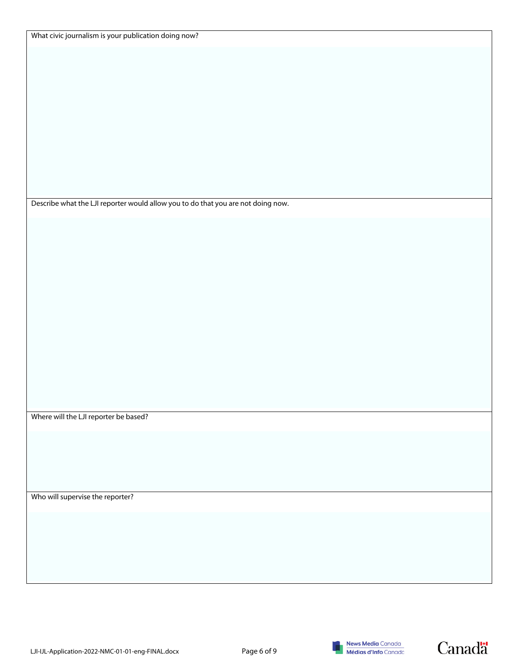| What civic journalism is your publication doing now? |  |  |
|------------------------------------------------------|--|--|
|------------------------------------------------------|--|--|

Describe what the LJI reporter would allow you to do that you are not doing now.

Where will the LJI reporter be based?

Who will supervise the reporter?





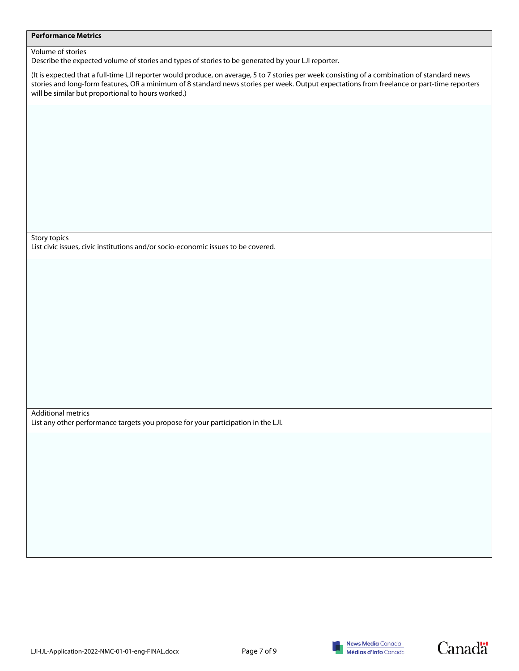#### **Performance Metrics**

#### Volume of stories

Describe the expected volume of stories and types of stories to be generated by your LJI reporter.

(It is expected that a full-time LJI reporter would produce, on average, 5 to 7 stories per week consisting of a combination of standard news stories and long-form features, OR a minimum of 8 standard news stories per week. Output expectations from freelance or part-time reporters will be similar but proportional to hours worked.)

Story topics

List civic issues, civic institutions and/or socio-economic issues to be covered.

Additional metrics List any other performance targets you propose for your participation in the LJI.





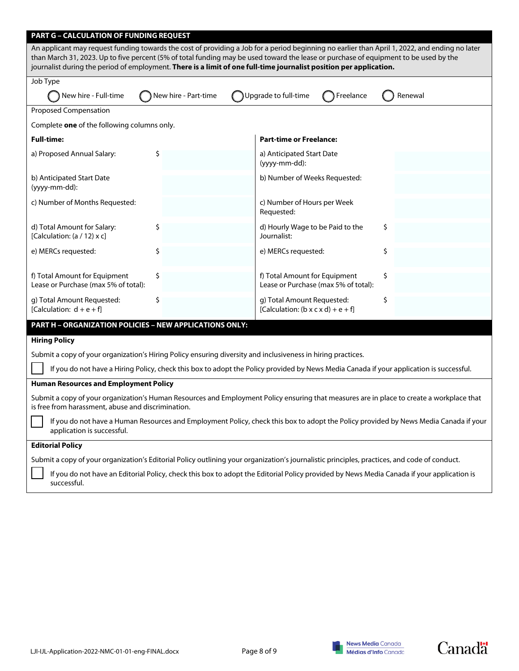| <b>PART G - CALCULATION OF FUNDING REQUEST</b>                                                                                                                                                                                                                                                                                                                                                               |                      |                                                                               |         |  |
|--------------------------------------------------------------------------------------------------------------------------------------------------------------------------------------------------------------------------------------------------------------------------------------------------------------------------------------------------------------------------------------------------------------|----------------------|-------------------------------------------------------------------------------|---------|--|
| An applicant may request funding towards the cost of providing a Job for a period beginning no earlier than April 1, 2022, and ending no later<br>than March 31, 2023. Up to five percent (5% of total funding may be used toward the lease or purchase of equipment to be used by the<br>journalist during the period of employment. There is a limit of one full-time journalist position per application. |                      |                                                                               |         |  |
| Job Type                                                                                                                                                                                                                                                                                                                                                                                                     |                      |                                                                               |         |  |
| New hire - Full-time                                                                                                                                                                                                                                                                                                                                                                                         | New hire - Part-time | Upgrade to full-time<br>Freelance                                             | Renewal |  |
| <b>Proposed Compensation</b>                                                                                                                                                                                                                                                                                                                                                                                 |                      |                                                                               |         |  |
| Complete one of the following columns only.                                                                                                                                                                                                                                                                                                                                                                  |                      |                                                                               |         |  |
| <b>Full-time:</b>                                                                                                                                                                                                                                                                                                                                                                                            |                      | <b>Part-time or Freelance:</b>                                                |         |  |
| a) Proposed Annual Salary:                                                                                                                                                                                                                                                                                                                                                                                   | \$                   | a) Anticipated Start Date<br>(yyyy-mm-dd):                                    |         |  |
| b) Anticipated Start Date<br>(yyyy-mm-dd):                                                                                                                                                                                                                                                                                                                                                                   |                      | b) Number of Weeks Requested:                                                 |         |  |
| c) Number of Months Requested:                                                                                                                                                                                                                                                                                                                                                                               |                      | c) Number of Hours per Week<br>Requested:                                     |         |  |
| d) Total Amount for Salary:<br>[Calculation: $(a / 12)$ x c]                                                                                                                                                                                                                                                                                                                                                 | \$                   | d) Hourly Wage to be Paid to the<br>Journalist:                               | \$      |  |
| e) MERCs requested:                                                                                                                                                                                                                                                                                                                                                                                          | \$                   | e) MERCs requested:                                                           | \$      |  |
| f) Total Amount for Equipment<br>Lease or Purchase (max 5% of total):                                                                                                                                                                                                                                                                                                                                        | \$                   | f) Total Amount for Equipment<br>Lease or Purchase (max 5% of total):         | \$      |  |
| g) Total Amount Requested:<br>[Calculation: $d + e + fl$ ]                                                                                                                                                                                                                                                                                                                                                   | \$                   | g) Total Amount Requested:<br>[Calculation: $(b \times c \times d) + e + f$ ] | \$      |  |
| PART H - ORGANIZATION POLICIES - NEW APPLICATIONS ONLY:                                                                                                                                                                                                                                                                                                                                                      |                      |                                                                               |         |  |
| <b>Hiring Policy</b>                                                                                                                                                                                                                                                                                                                                                                                         |                      |                                                                               |         |  |
| Submit a copy of your organization's Hiring Policy ensuring diversity and inclusiveness in hiring practices.                                                                                                                                                                                                                                                                                                 |                      |                                                                               |         |  |
| If you do not have a Hiring Policy, check this box to adopt the Policy provided by News Media Canada if your application is successful.                                                                                                                                                                                                                                                                      |                      |                                                                               |         |  |
| <b>Human Resources and Employment Policy</b>                                                                                                                                                                                                                                                                                                                                                                 |                      |                                                                               |         |  |
| Submit a copy of your organization's Human Resources and Employment Policy ensuring that measures are in place to create a workplace that<br>is free from harassment, abuse and discrimination.                                                                                                                                                                                                              |                      |                                                                               |         |  |
| If you do not have a Human Resources and Employment Policy, check this box to adopt the Policy provided by News Media Canada if your<br>application is successful.                                                                                                                                                                                                                                           |                      |                                                                               |         |  |
| <b>Editorial Policy</b>                                                                                                                                                                                                                                                                                                                                                                                      |                      |                                                                               |         |  |

Submit a copy of your organization's Editorial Policy outlining your organization's journalistic principles, practices, and code of conduct.

If you do not have an Editorial Policy, check this box to adopt the Editorial Policy provided by News Media Canada if your application is successful.